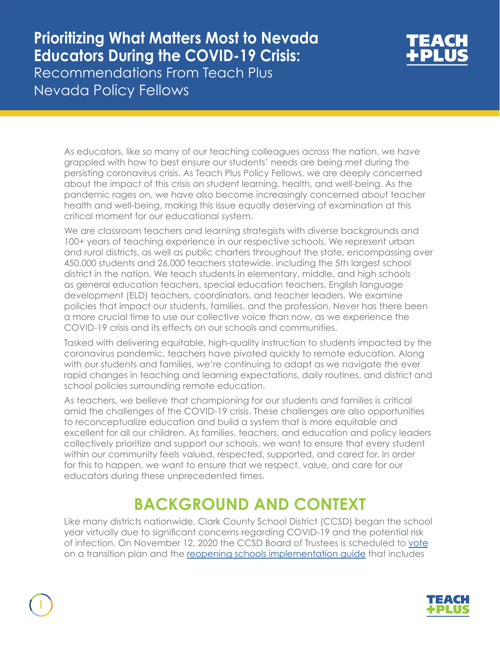# **Prioritizing What Matters Most to Nevada Educators During the COVID-19 Crisis:**

Recommendations From Teach Plus Nevada Policy Fellows

1



As educators, like so many of our teaching colleagues across the nation, we have grappled with how to best ensure our students' needs are being met during the persisting coronavirus crisis. As Teach Plus Policy Fellows, we are deeply concerned about the impact of this crisis on student learning, health, and well-being. As the pandemic rages on, we have also become increasingly concerned about teacher health and well-being, making this issue equally deserving of examination at this critical moment for our educational system.

We are classroom teachers and learning strategists with diverse backgrounds and 100+ years of teaching experience in our respective schools. We represent urban and rural districts, as well as public charters throughout the state, encompassing over 450,000 students and 26,000 teachers statewide, including the 5th largest school district in the nation. We teach students in elementary, middle, and high schools as general education teachers, special education teachers, English language development (ELD) teachers, coordinators, and teacher leaders. We examine policies that impact our students, families, and the profession. Never has there been a more crucial time to use our collective voice than now, as we experience the COVID-19 crisis and its effects on our schools and communities.

Tasked with delivering equitable, high-quality instruction to students impacted by the coronavirus pandemic, teachers have pivoted quickly to remote education. Along with our students and families, we're continuing to adapt as we navigate the ever rapid changes in teaching and learning expectations, daily routines, and district and school policies surrounding remote education.

As teachers, we believe that championing for our students and families is critical amid the challenges of the COVID-19 crisis. These challenges are also opportunities to reconceptualize education and build a system that is more equitable and excellent for all our children. As families, teachers, and education and policy leaders collectively prioritize and support our schools, we want to ensure that every student within our community feels valued, respected, supported, and cared for. In order for this to happen, we want to ensure that we respect, value, and care for our educators during these unprecedented times.

### **BACKGROUND AND CONTEXT**

Like many districts nationwide, Clark County School District (CCSD) began the school year virtually due to significant concerns regarding COVID-19 and the potential risk of infection. On November 12, 2020 the CCSD Board of Trustees is scheduled to [vote](https://www.8newsnow.com/news/local-news/nov-12-vote-planned-on-ccsd-transition-to-in-person-hybrid-learning/) on a transition plan and the [reopening schools implementation guide](https://ccsd.net/district/resources/pdf/reopening-our-schools-implementation-guide.pdf) that includes

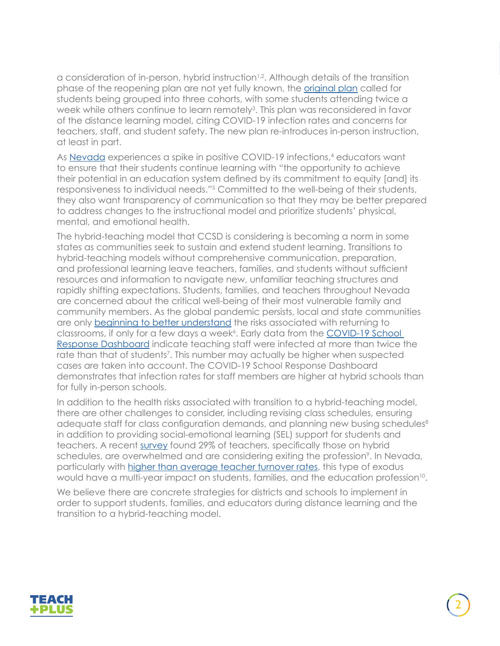a consideration of in-person, hybrid instruction $1/2$ . Although details of the transition phase of the reopening plan are not yet fully known, the **original plan** called for students being grouped into three cohorts, with some students attending twice a week while others continue to learn remotely<sup>3</sup>. This plan was reconsidered in favor of the distance learning model, citing COVID-19 infection rates and concerns for teachers, staff, and student safety. The new plan re-introduces in-person instruction, at least in part.

As [Nevada](https://www.staradvertiser.com/2020/09/24/breaking-news/nevada-covid-19-positivity-rises-after-month-long-decline/) experiences a spike in positive COVID-19 infections,<sup>4</sup> educators want to ensure that their students continue learning with "the opportunity to achieve their potential in an education system defined by its commitment to equity [and] its responsiveness to individual needs."5 Committed to the well-being of their students, they also want transparency of communication so that they may be better prepared to address changes to the instructional model and prioritize students' physical, mental, and emotional health.

The hybrid-teaching model that CCSD is considering is becoming a norm in some states as communities seek to sustain and extend student learning. Transitions to hybrid-teaching models without comprehensive communication, preparation, and professional learning leave teachers, families, and students without sufficient resources and information to navigate new, unfamiliar teaching structures and rapidly shifting expectations. Students, families, and teachers throughout Nevada are concerned about the critical well-being of their most vulnerable family and community members. As the global pandemic persists, local and state communities are only [beginning to better understand](https://www.vox.com/2020/10/1/21493602/covid-19-schools-reopening-nyc-florida-hybrid) the risks associated with returning to classrooms, if only for a few days a week<sup>6</sup>. Early data from the **COVID-19 School** [Response Dashboard](https://covidschooldashboard.com/) indicate teaching staff were infected at more than twice the rate than that of students<sup>7</sup>. This number may actually be higher when suspected cases are taken into account. The COVID-19 School Response Dashboard demonstrates that infection rates for staff members are higher at hybrid schools than for fully in-person schools.

In addition to the health risks associated with transition to a hybrid-teaching model, there are other challenges to consider, including revising class schedules, ensuring adequate staff for class configuration demands, and planning new busing schedules<sup>8</sup> in addition to providing social-emotional learning (SEL) support for students and teachers. A recent [survey](https://www.twincities.com/2020/10/12/union-survey-warns-of-mn-teacher-burnout-especially-on-hybrid-schedules/?utm_content=142546447&utm_medium=social&utm_source=twitter&hss_channel=tw-16546457) found 29% of teachers, specifically those on hybrid schedules, are overwhelmed and are considering exiting the profession<sup>9</sup>. In Nevada, particularly with [higher than average teacher turnover rates](https://teachplus.org/news-events/publications/understanding-why-nevada-teachers-choose-stay-and-leave-schools), this type of exodus would have a multi-year impact on students, families, and the education profession<sup>10</sup>.

We believe there are concrete strategies for districts and schools to implement in order to support students, families, and educators during distance learning and the transition to a hybrid-teaching model.

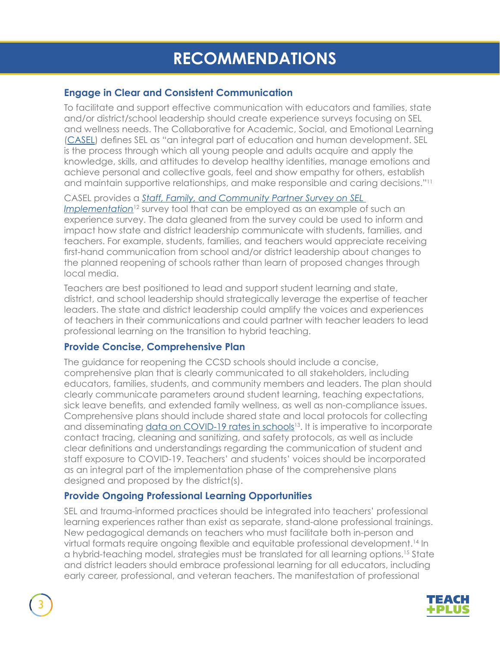### **RECOMMENDATIONS**

#### **Engage in Clear and Consistent Communication**

To facilitate and support effective communication with educators and families, state and/or district/school leadership should create experience surveys focusing on SEL and wellness needs. The Collaborative for Academic, Social, and Emotional Learning ([CASEL](https://casel.org/what-is-sel/)) defines SEL as "an integral part of education and human development. SEL is the process through which all young people and adults acquire and apply the knowledge, skills, and attitudes to develop healthy identities, manage emotions and achieve personal and collective goals, feel and show empathy for others, establish and maintain supportive relationships, and make responsible and caring decisions."11

#### CASEL provides a *[Staff, Family, and Community Partner Survey on SEL](https://schoolguide.casel.org/resource/tool-staff-family-and-community-partner-survey-on-sel-implementation/)*

*[Implementation](https://schoolguide.casel.org/resource/tool-staff-family-and-community-partner-survey-on-sel-implementation/)*<sup>12</sup> survey tool that can be employed as an example of such an experience survey. The data gleaned from the survey could be used to inform and impact how state and district leadership communicate with students, families, and teachers. For example, students, families, and teachers would appreciate receiving first-hand communication from school and/or district leadership about changes to the planned reopening of schools rather than learn of proposed changes through local media.

Teachers are best positioned to lead and support student learning and state, district, and school leadership should strategically leverage the expertise of teacher leaders. The state and district leadership could amplify the voices and experiences of teachers in their communications and could partner with teacher leaders to lead professional learning on the transition to hybrid teaching.

#### **Provide Concise, Comprehensive Plan**

The guidance for reopening the CCSD schools should include a concise, comprehensive plan that is clearly communicated to all stakeholders, including educators, families, students, and community members and leaders. The plan should clearly communicate parameters around student learning, teaching expectations, sick leave benefits, and extended family wellness, as well as non-compliance issues. Comprehensive plans should include shared state and local protocols for collecting and disseminating data on COVID-19 rates in schools<sup>13</sup>. It is imperative to incorporate contact tracing, cleaning and sanitizing, and safety protocols, as well as include clear definitions and understandings regarding the communication of student and staff exposure to COVID-19. Teachers' and students' voices should be incorporated as an integral part of the implementation phase of the comprehensive plans designed and proposed by the district(s).

#### **Provide Ongoing Professional Learning Opportunities**

SEL and trauma-informed practices should be integrated into teachers' professional learning experiences rather than exist as separate, stand-alone professional trainings. New pedagogical demands on teachers who must facilitate both in-person and virtual formats require ongoing flexible and equitable professional development.<sup>14</sup> In a hybrid-teaching model, strategies must be translated for all learning options.15 State and district leaders should embrace professional learning for all educators, including early career, professional, and veteran teachers. The manifestation of professional

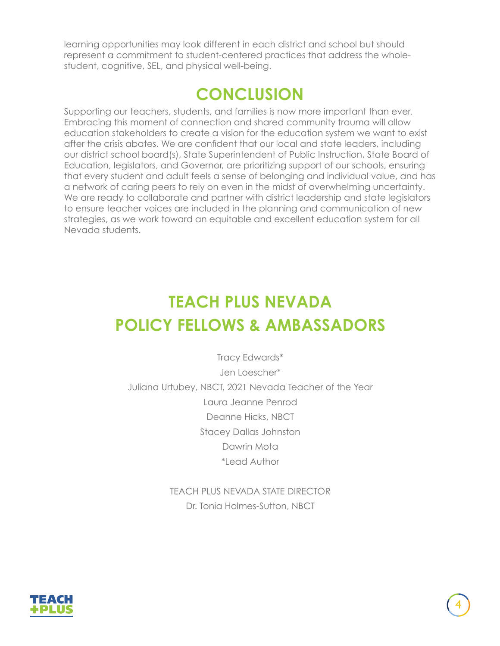learning opportunities may look different in each district and school but should represent a commitment to student-centered practices that address the wholestudent, cognitive, SEL, and physical well-being.

### **CONCLUSION**

Supporting our teachers, students, and families is now more important than ever. Embracing this moment of connection and shared community trauma will allow education stakeholders to create a vision for the education system we want to exist after the crisis abates. We are confident that our local and state leaders, including our district school board(s), State Superintendent of Public Instruction, State Board of Education, legislators, and Governor, are prioritizing support of our schools, ensuring that every student and adult feels a sense of belonging and individual value, and has a network of caring peers to rely on even in the midst of overwhelming uncertainty. We are ready to collaborate and partner with district leadership and state legislators to ensure teacher voices are included in the planning and communication of new strategies, as we work toward an equitable and excellent education system for all Nevada students.

## **TEACH PLUS NEVADA POLICY FELLOWS & AMBASSADORS**

Tracy Edwards\* Jen Loescher\* Juliana Urtubey, NBCT, 2021 Nevada Teacher of the Year Laura Jeanne Penrod Deanne Hicks, NBCT Stacey Dallas Johnston Dawrin Mota \*Lead Author

> TEACH PLUS NEVADA STATE DIRECTOR Dr. Tonia Holmes-Sutton, NBCT